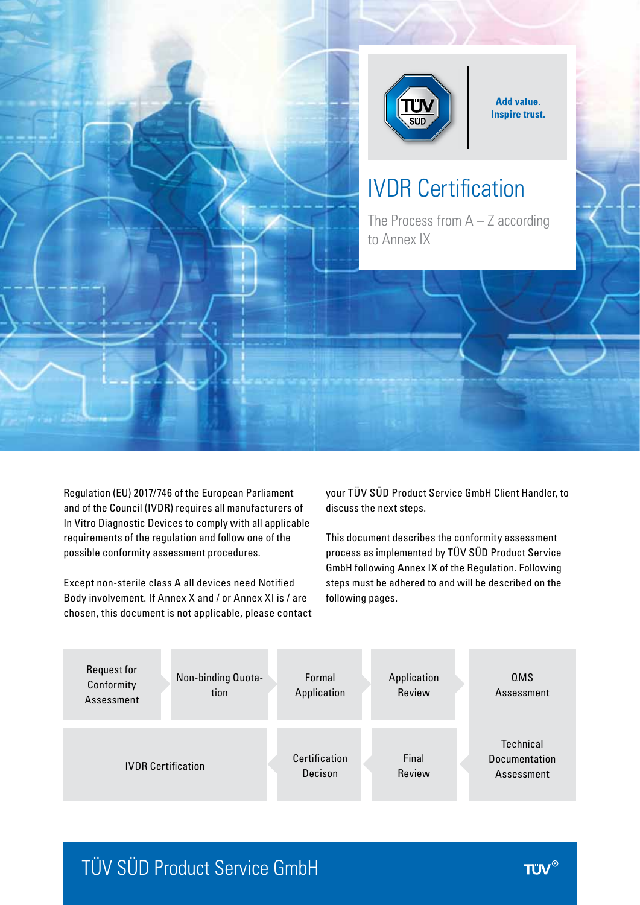

**Add value. Inspire trust.** 

# IVDR Certification

The Process from  $A - Z$  according to Annex IX

Regulation (EU) 2017/746 of the European Parliament and of the Council (IVDR) requires all manufacturers of In Vitro Diagnostic Devices to comply with all applicable requirements of the regulation and follow one of the possible conformity assessment procedures.

Except non-sterile class A all devices need Notified Body involvement. If Annex X and / or Annex XI is / are chosen, this document is not applicable, please contact your TÜV SÜD Product Service GmbH Client Handler, to discuss the next steps.

This document describes the conformity assessment process as implemented by TÜV SÜD Product Service GmbH following Annex IX of the Regulation. Following steps must be adhered to and will be described on the following pages.



## TÜV SÜD Product Service GmbH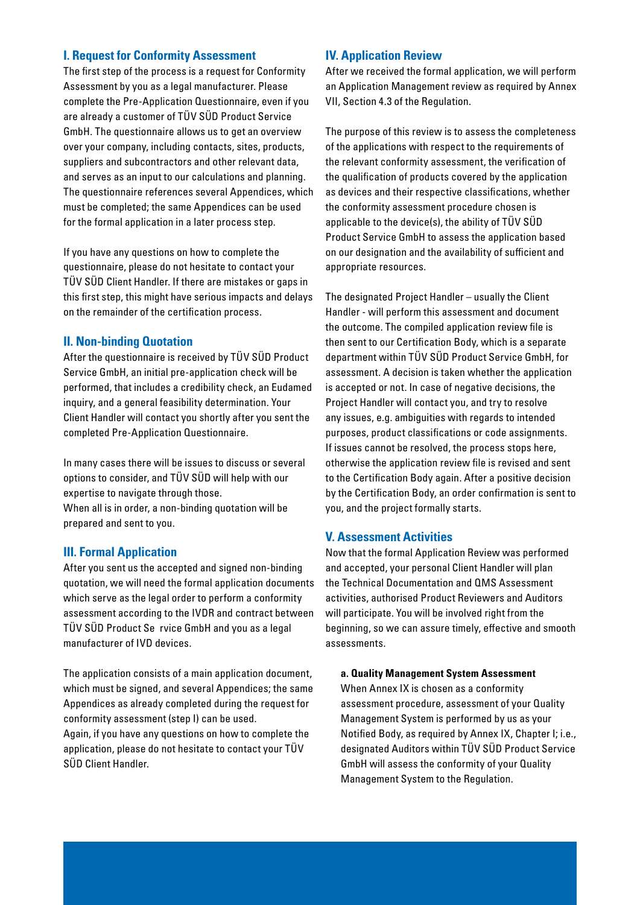### **I. Request for Conformity Assessment**

The first step of the process is a request for Conformity Assessment by you as a legal manufacturer. Please complete the Pre-Application Questionnaire, even if you are already a customer of TÜV SÜD Product Service GmbH. The questionnaire allows us to get an overview over your company, including contacts, sites, products, suppliers and subcontractors and other relevant data, and serves as an input to our calculations and planning. The questionnaire references several Appendices, which must be completed; the same Appendices can be used for the formal application in a later process step.

If you have any questions on how to complete the questionnaire, please do not hesitate to contact your TÜV SÜD Client Handler. If there are mistakes or gaps in this first step, this might have serious impacts and delays on the remainder of the certification process.

#### **II. Non-binding Quotation**

After the questionnaire is received by TÜV SÜD Product Service GmbH, an initial pre-application check will be performed, that includes a credibility check, an Eudamed inquiry, and a general feasibility determination. Your Client Handler will contact you shortly after you sent the completed Pre-Application Questionnaire.

In many cases there will be issues to discuss or several options to consider, and TÜV SÜD will help with our expertise to navigate through those. When all is in order, a non-binding quotation will be prepared and sent to you.

## **III. Formal Application**

After you sent us the accepted and signed non-binding quotation, we will need the formal application documents which serve as the legal order to perform a conformity assessment according to the IVDR and contract between TÜV SÜD Product Se rvice GmbH and you as a legal manufacturer of IVD devices.

The application consists of a main application document, which must be signed, and several Appendices; the same Appendices as already completed during the request for conformity assessment (step I) can be used. Again, if you have any questions on how to complete the application, please do not hesitate to contact your TÜV SÜD Client Handler.

## **IV. Application Review**

After we received the formal application, we will perform an Application Management review as required by Annex VII, Section 4.3 of the Regulation.

The purpose of this review is to assess the completeness of the applications with respect to the requirements of the relevant conformity assessment, the verification of the qualification of products covered by the application as devices and their respective classifications, whether the conformity assessment procedure chosen is applicable to the device(s), the ability of TÜV SÜD Product Service GmbH to assess the application based on our designation and the availability of sufficient and appropriate resources.

The designated Project Handler – usually the Client Handler - will perform this assessment and document the outcome. The compiled application review file is then sent to our Certification Body, which is a separate department within TÜV SÜD Product Service GmbH, for assessment. A decision is taken whether the application is accepted or not. In case of negative decisions, the Project Handler will contact you, and try to resolve any issues, e.g. ambiguities with regards to intended purposes, product classifications or code assignments. If issues cannot be resolved, the process stops here, otherwise the application review file is revised and sent to the Certification Body again. After a positive decision by the Certification Body, an order confirmation is sent to you, and the project formally starts.

## **V. Assessment Activities**

Now that the formal Application Review was performed and accepted, your personal Client Handler will plan the Technical Documentation and QMS Assessment activities, authorised Product Reviewers and Auditors will participate. You will be involved right from the beginning, so we can assure timely, effective and smooth assessments.

#### **a. Quality Management System Assessment**

When Annex IX is chosen as a conformity assessment procedure, assessment of your Quality Management System is performed by us as your Notified Body, as required by Annex IX, Chapter I; i.e., designated Auditors within TÜV SÜD Product Service GmbH will assess the conformity of your Quality Management System to the Regulation.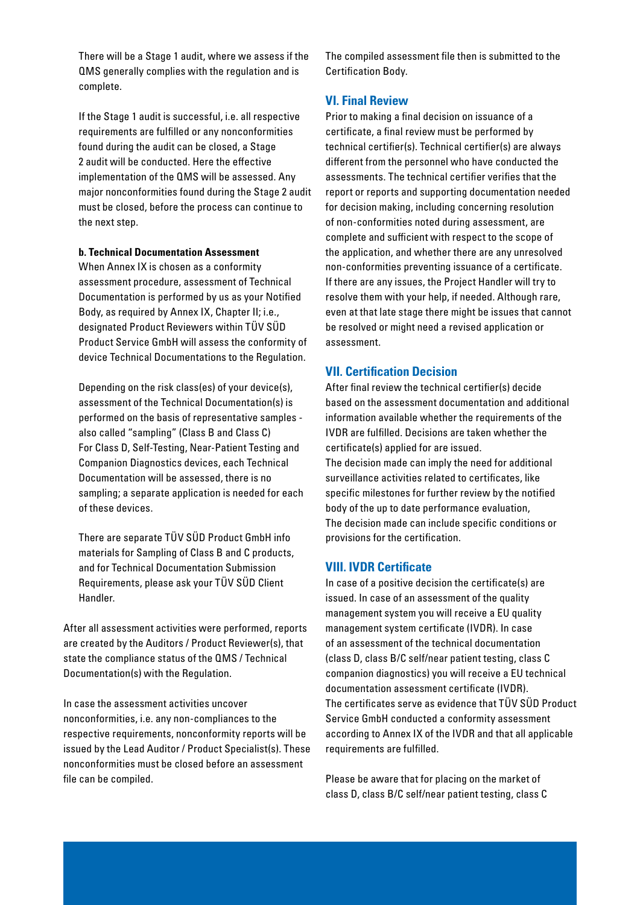There will be a Stage 1 audit, where we assess if the QMS generally complies with the regulation and is complete.

If the Stage 1 audit is successful, i.e. all respective requirements are fulfilled or any nonconformities found during the audit can be closed, a Stage 2 audit will be conducted. Here the effective implementation of the QMS will be assessed. Any major nonconformities found during the Stage 2 audit must be closed, before the process can continue to the next step.

#### **b. Technical Documentation Assessment**

When Annex IX is chosen as a conformity assessment procedure, assessment of Technical Documentation is performed by us as your Notified Body, as required by Annex IX, Chapter II; i.e., designated Product Reviewers within TÜV SÜD Product Service GmbH will assess the conformity of device Technical Documentations to the Regulation.

Depending on the risk class(es) of your device(s), assessment of the Technical Documentation(s) is performed on the basis of representative samples also called "sampling" (Class B and Class C) For Class D, Self-Testing, Near-Patient Testing and Companion Diagnostics devices, each Technical Documentation will be assessed, there is no sampling; a separate application is needed for each of these devices.

There are separate TÜV SÜD Product GmbH info materials for Sampling of Class B and C products, and for Technical Documentation Submission Requirements, please ask your TÜV SÜD Client Handler.

After all assessment activities were performed, reports are created by the Auditors / Product Reviewer(s), that state the compliance status of the QMS / Technical Documentation(s) with the Regulation.

In case the assessment activities uncover nonconformities, i.e. any non-compliances to the respective requirements, nonconformity reports will be issued by the Lead Auditor / Product Specialist(s). These nonconformities must be closed before an assessment file can be compiled.

The compiled assessment file then is submitted to the Certification Body.

## **VI. Final Review**

Prior to making a final decision on issuance of a certificate, a final review must be performed by technical certifier(s). Technical certifier(s) are always different from the personnel who have conducted the assessments. The technical certifier verifies that the report or reports and supporting documentation needed for decision making, including concerning resolution of non-conformities noted during assessment, are complete and sufficient with respect to the scope of the application, and whether there are any unresolved non-conformities preventing issuance of a certificate. If there are any issues, the Project Handler will try to resolve them with your help, if needed. Although rare, even at that late stage there might be issues that cannot be resolved or might need a revised application or assessment.

#### **VII. Certification Decision**

After final review the technical certifier(s) decide based on the assessment documentation and additional information available whether the requirements of the IVDR are fulfilled. Decisions are taken whether the certificate(s) applied for are issued. The decision made can imply the need for additional surveillance activities related to certificates, like specific milestones for further review by the notified body of the up to date performance evaluation, The decision made can include specific conditions or provisions for the certification.

#### **VIII. IVDR Certificate**

In case of a positive decision the certificate(s) are issued. In case of an assessment of the quality management system you will receive a EU quality management system certificate (IVDR). In case of an assessment of the technical documentation (class D, class B/C self/near patient testing, class C companion diagnostics) you will receive a EU technical documentation assessment certificate (IVDR). The certificates serve as evidence that TÜV SÜD Product Service GmbH conducted a conformity assessment according to Annex IX of the IVDR and that all applicable requirements are fulfilled.

Please be aware that for placing on the market of class D, class B/C self/near patient testing, class C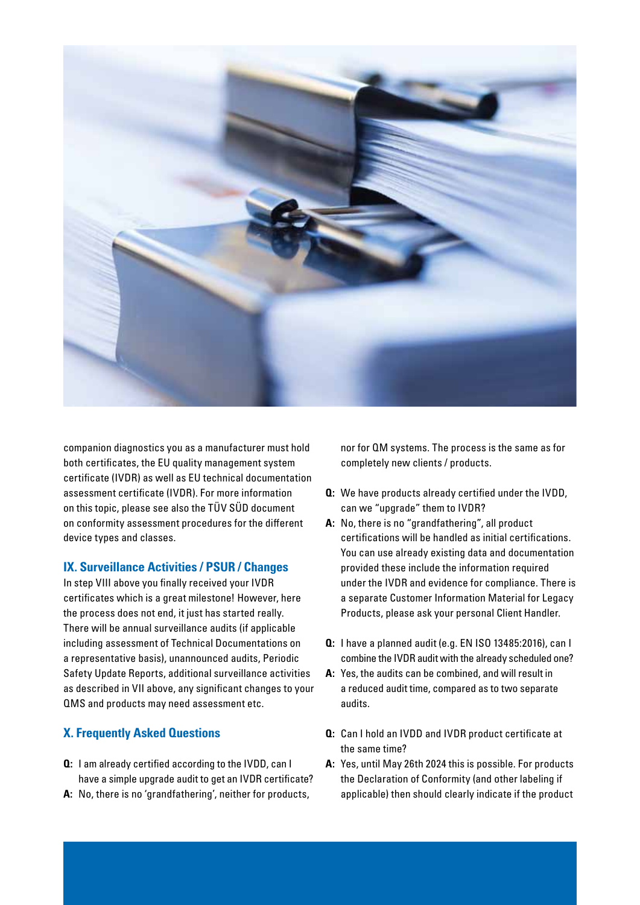

companion diagnostics you as a manufacturer must hold both certificates, the EU quality management system certificate (IVDR) as well as EU technical documentation assessment certificate (IVDR). For more information on this topic, please see also the TÜV SÜD document on conformity assessment procedures for the different device types and classes.

## **IX. Surveillance Activities / PSUR / Changes**

In step VIII above you finally received your IVDR certificates which is a great milestone! However, here the process does not end, it just has started really. There will be annual surveillance audits (if applicable including assessment of Technical Documentations on a representative basis), unannounced audits, Periodic Safety Update Reports, additional surveillance activities as described in VII above, any significant changes to your QMS and products may need assessment etc.

## **X. Frequently Asked Questions**

- **Q:** I am already certified according to the IVDD, can I have a simple upgrade audit to get an IVDR certificate?
- **A:** No, there is no 'grandfathering', neither for products,

nor for QM systems. The process is the same as for completely new clients / products.

- **Q:** We have products already certified under the IVDD, can we "upgrade" them to IVDR?
- **A:** No, there is no "grandfathering", all product certifications will be handled as initial certifications. You can use already existing data and documentation provided these include the information required under the IVDR and evidence for compliance. There is a separate Customer Information Material for Legacy Products, please ask your personal Client Handler.
- **Q:** I have a planned audit (e.g. EN ISO 13485:2016), can I combine the IVDR audit with the already scheduled one?
- **A:** Yes, the audits can be combined, and will result in a reduced audit time, compared as to two separate audits.
- **Q:** Can I hold an IVDD and IVDR product certificate at the same time?
- **A:** Yes, until May 26th 2024 this is possible. For products the Declaration of Conformity (and other labeling if applicable) then should clearly indicate if the product